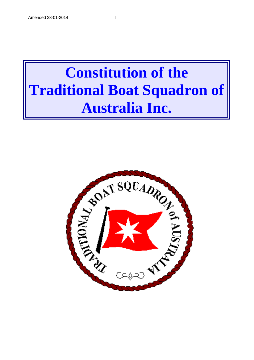# **Constitution of the Traditional Boat Squadron of Australia Inc.**

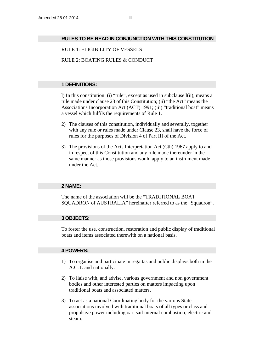#### **RULES TO BE READ IN CONJUNCTION WITH THIS CONSTITUTION**

RULE 1: ELIGIBILITY OF VESSELS

RULE 2: BOATING RULES & CONDUCT

# **1 DEFINITIONS:**

l) In this constitution: (i) "rule", except as used in subclause l(ii), means a rule made under clause 23 of this Constitution; (ii) "the Act" means the Associations Incorporation Act (ACT) 1991; (iii) "traditional boat" means a vessel which fulfils the requirements of Rule 1.

- 2) The clauses of this constitution, individually and severally, together with any rule or rules made under Clause 23, shall have the force of rules for the purposes of Division 4 of Part III of the Act.
- 3) The provisions of the Acts Interpretation Act (Cth) 1967 apply to and in respect of this Constitution and any rule made thereunder in the same manner as those provisions would apply to an instrument made under the Act.

### **2 NAME:**

The name of the association will be the "TRADITIONAL BOAT SQUADRON of AUSTRALIA" hereinafter referred to as the "Squadron".

# **3 OBJECTS:**

To foster the use, construction, restoration and public display of traditional boats and items associated therewith on a national basis.

# **4 POWERS:**

- 1) To organise and participate in regattas and public displays both in the A.C.T. and nationally.
- 2) To liaise with, and advise, various government and non government bodies and other interested parties on matters impacting upon traditional boats and associated matters.
- 3) To act as a national Coordinating body for the various State associations involved with traditional boats of all types or class and propulsive power including oar, sail internal combustion, electric and steam.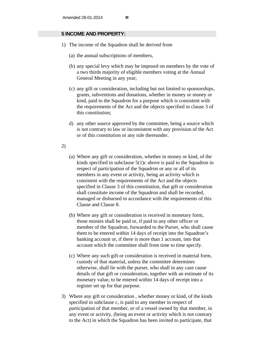#### **5 INCOME AND PROPERTY:**

- 1) The income of the Squadron shall be derived from
	- (a) the annual subscriptions of members,
	- (b) any special levy which may be imposed on members by the vote of a two thirds majority of eligible members voting at the Annual General Meeting in any year;
	- (c) any gift or consideration, including but not limited to sponsorships, grants, subventions and donations, whether in money or money or kind, paid to the Squadron for a purpose which is consistent with the requirements of the Act and the objects specified in clause 3 of this constitution;
	- d) any other source approved by the committee, being a source which is not contrary to law or inconsistent with any provision of the Act or of this constitution or any rule thereunder.
- 2)
- (a) Where any gift or consideration, whether in money or kind, of the kinds specified in subclause 5(1)c above is paid to the Squadron in respect of participation of the Squadron or any or all of its members in any event or activity, being an activity which is consistent with the requirements of the Act and the objects specified in Clause 3 of this constitution, that gift or consideration shall constitute income of the Squadron and shall be recorded, managed or disbursed in accordance with the requirements of this Clause and Clause 8.
- (b) Where any gift or consideration is received in monetary form, those monies shall be paid or, if paid to any other officer or member of the Squadron, forwarded to the Purser, who shall cause them to be entered within 14 days of receipt into the Squadron's banking account or, if there is more than 1 account, into that account which the committee shall from time to time specify.
- (c) Where any such gift or consideration is received in material form, custody of that material, unless the committee determines otherwise, shall lie with the purser, who shall in any case cause details of that gift or consideration, together with an estimate of its monetary value, to be entered within 14 days of receipt into a register set up for that purpose.
- 3) Where any gift or consideration , whether money or kind, of the kinds specified in subclause c, is paid to any member in respect of participation of that member, or of a vessel owned by that member, in any event or activity, (being an event or activity which is not contrary to the Act) in which the Squadron has been invited to participate, that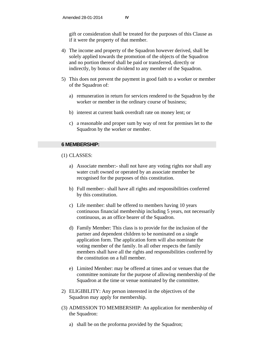gift or consideration shall be treated for the purposes of this Clause as if it were the property of that member.

- 4) The income and property of the Squadron however derived, shall be solely applied towards the promotion of the objects of the Squadron and no portion thereof shall be paid or transferred, directly or indirectly, by bonus or dividend to any member of the Squadron.
- 5) This does not prevent the payment in good faith to a worker or member of the Squadron of:
	- a) remuneration in return for services rendered to the Squadron by the worker or member in the ordinary course of business;
	- b) interest at current bank overdraft rate on money lent; or
	- c) a reasonable and proper sum by way of rent for premises let to the Squadron by the worker or member.

#### **6 MEMBERSHIP:**

- (1) CLASSES:
	- a) Associate member:- shall not have any voting rights nor shall any water craft owned or operated by an associate member be recognised for the purposes of this constitution.
	- b) Full member:- shall have all rights and responsibilities conferred by this constitution.
	- c) Life member: shall be offered to members having 10 years continuous financial membership including 5 years, not necessarily continuous, as an office bearer of the Squadron.
	- d) Family Member: This class is to provide for the inclusion of the partner and dependent children to be nominated on a single application form. The application form will also nominate the voting member of the family. In all other respects the family members shall have all the rights and responsibilities conferred by the constitution on a full member.
	- e) Limited Member: may be offered at times and or venues that the committee nominate for the purpose of allowing membership of the Squadron at the time or venue nominated by the committee.
- 2) ELIGIBILITY: Any person interested in the objectives of the Squadron may apply for membership.
- (3) ADMISSION TO MEMBERSHIP: An application for membership of the Squadron:
	- a) shall be on the proforma provided by the Squadron;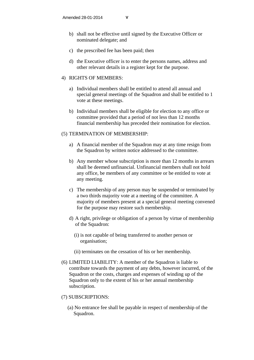- b) shall not be effective until signed by the Executive Officer or nominated delegate; and
- c) the prescribed fee has been paid; then
- d) the Executive officer is to enter the persons names, address and other relevant details in a register kept for the purpose.

#### 4) RIGHTS OF MEMBERS:

- a) Individual members shall be entitled to attend all annual and special general meetings of the Squadron and shall be entitled to 1 vote at these meetings.
- b) Individual members shall be eligible for election to any office or committee provided that a period of not less than 12 months financial membership has preceded their nomination for election.

#### (5) TERMINATION OF MEMBERSHIP:

- a) A financial member of the Squadron may at any time resign from the Squadron by written notice addressed to the committee.
- b) Any member whose subscription is more than 12 months in arrears shall be deemed unfinancial. Unfinancial members shall not hold any office, be members of any committee or be entitled to vote at any meeting.
- c) The membership of any person may be suspended or terminated by a two thirds majority vote at a meeting of the committee. A majority of members present at a special general meeting convened for the purpose may restore such membership.
- d) A right, privilege or obligation of a person by virtue of membership of the Squadron:
	- (i) is not capable of being transferred to another person or organisation;
	- (ii) terminates on the cessation of his or her membership.
- (6) LIMITED LIABILITY: A member of the Squadron is liable to contribute towards the payment of any debts, however incurred, of the Squadron or the costs, charges and expenses of winding up of the Squadron only to the extent of his or her annual membership subscription.

#### (7) SUBSCRIPTIONS:

(a) No entrance fee shall be payable in respect of membership of the Squadron.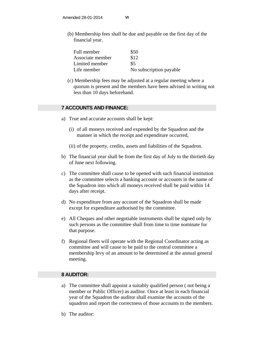(b) Membership fees shall be due and payable on the first day of the financial year.

| Full member      | \$50                    |
|------------------|-------------------------|
| Associate member | \$12                    |
| Limited member   | \$5                     |
| Life member      | No subscription payable |

(c) Membership fees may be adjusted at a regular meeting where a quorum is present and the members have been advised in writing not less than 10 days beforehand.

## **7 ACCOUNTS AND FINANCE:**

- a) True and accurate accounts shall be kept:
	- (i) of all moneys received and expended by the Squadron and the manner in which the receipt and expenditure occurred,
	- (ii) of the property, credits, assets and liabilities of the Squadron.
- b) The financial year shall be from the first day of July to the thirtieth day of June next following.
- c) The committee shall cause to be opened with such financial institution as the committee selects a banking account or accounts in the name of the Squadron into which all moneys received shall be paid within 14 days after receipt.
- d) No expenditure from any account of the Squadron shall be made except for expenditure authorised by the committee.
- e) All Cheques and other negotiable instruments shall be signed only by such persons as the committee shall from time to time nominate for that purpose.
- f) Regional fleets will operate with the Regional Coordinator acting as committee and will cause to be paid to the central committee a membership levy of an amount to be determined at the annual general meeting.

#### **8 AUDITOR:**

- a) The committee shall appoint a suitably qualified person ( not being a member or Public Officer) as auditor. Once at least in each financial year of the Squadron the auditor shall examine the accounts of the squadron and report the correctness of those accounts to the members.
- b) The auditor: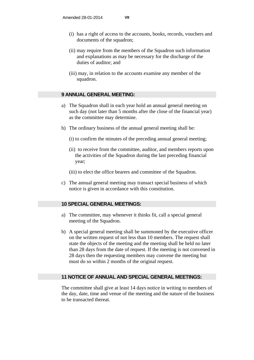- (i) has a right of access to the accounts, books, records, vouchers and documents of the squadron;
- (ii) may require from the members of the Squadron such information and explanations as may be necessary for the discharge of the duties of auditor; and
- (iii) may, in relation to the accounts examine any member of the squadron.

#### **9 ANNUAL GENERAL MEETING:**

- a) The Squadron shall in each year hold an annual general meeting on such day (not later than 5 months after the close of the financial year) as the committee may determine.
- b) The ordinary business of the annual general meeting shall be:
	- (i) to confirm the minutes of the preceding annual general meeting;
	- (ii) to receive from the committee, auditor, and members reports upon the activities of the Squadron during the last preceding financial year;
	- (iii) to elect the office bearers and committee of the Squadron.
- c) The annual general meeting may transact special business of which notice is given in accordance with this constitution.

#### **10 SPECIAL GENERAL MEETINGS:**

- a) The committee, may whenever it thinks fit, call a special general meeting of the Squadron.
- b) A special general meeting shall be summoned by the executive officer on the written request of not less than 10 members. The request shall state the objects of the meeting and the meeting shall be held no later than 28 days from the date of request. If the meeting is not convened in 28 days then the requesting members may convene the meeting but must do so within 2 months of the original request.

#### **11 NOTICE OF ANNUAL AND SPECIAL GENERAL MEETINGS:**

The committee shall give at least 14 days notice in writing to members of the day, date, time and venue of the meeting and the nature of the business to be transacted thereat.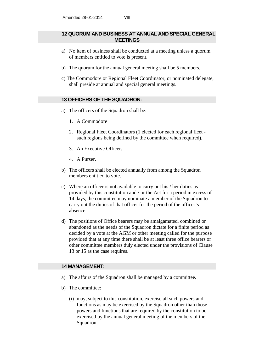# **12 QUORUM AND BUSINESS AT ANNUAL AND SPECIAL GENERAL MEETINGS**

- a) No item of business shall be conducted at a meeting unless a quorum of members entitled to vote is present.
- b) The quorum for the annual general meeting shall be 5 members.
- c) The Commodore or Regional Fleet Coordinator, or nominated delegate, shall preside at annual and special general meetings.

# **13 OFFICERS OF THE SQUADRON:**

- a) The officers of the Squadron shall be:
	- 1. A Commodore
	- 2. Regional Fleet Coordinators (1 elected for each regional fleet such regions being defined by the committee when required).
	- 3. An Executive Officer.
	- 4. A Purser.
- b) The officers shall be elected annually from among the Squadron members entitled to vote.
- c) Where an officer is not available to carry out his / her duties as provided by this constitution and / or the Act for a period in excess of 14 days, the committee may nominate a member of the Squadron to carry out the duties of that officer for the period of the officer's absence.
- d) The positions of Office bearers may be amalgamated, combined or abandoned as the needs of the Squadron dictate for a finite period as decided by a vote at the AGM or other meeting called for the purpose provided that at any time there shall be at least three office bearers or other committee members duly elected under the provisions of Clause 13 or 15 as the case requires.

#### **14 MANAGEMENT:**

- a) The affairs of the Squadron shall be managed by a committee.
- b) The committee:
	- (i) may, subject to this constitution, exercise all such powers and functions as may be exercised by the Squadron other than those powers and functions that are required by the constitution to be exercised by the annual general meeting of the members of the Squadron.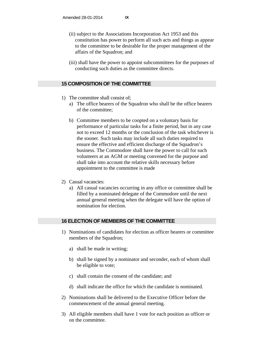- (ii) subject to the Associations Incorporation Act 1953 and this constitution has power to perform all such acts and things as appear to the committee to be desirable for the proper management of the affairs of the Squadron; and
- (iii) shall have the power to appoint subcommittees for the purposes of conducting such duties as the committee directs.

#### **15 COMPOSITION OF THE COMMITTEE**

- 1) The committee shall consist of;
	- a) The office bearers of the Squadron who shall be the office bearers of the committee;
	- b) Committee members to be coopted on a voluntary basis for performance of particular tasks for a finite period, but in any case not to exceed 12 months or the conclusion of the task whichever is the sooner. Such tasks may include all such duties required to ensure the effective and efficient discharge of the Squadron's business. The Commodore shall have the power to call for such volunteers at an AGM or meeting convened for the purpose and shall take into account the relative skills necessary before appointment to the committee is made
- 2) Casual vacancies:
	- a) All casual vacancies occurring in any office or committee shall be filled by a nominated delegate of the Commodore until the next annual general meeting when the delegate will have the option of nomination for election.

#### **16 ELECTION OF MEMBERS OF THE COMMITTEE**

- 1) Nominations of candidates for election as officer bearers or committee members of the Squadron;
	- a) shall be made in writing;
	- b) shall be signed by a nominator and seconder, each of whom shall be eligible to vote;
	- c) shall contain the consent of the candidate; and
	- d) shall indicate the office for which the candidate is nominated.
- 2) Nominations shall be delivered to the Executive Officer before the commencement of the annual general meeting.
- 3) All eligible members shall have 1 vote for each position as officer or on the committee.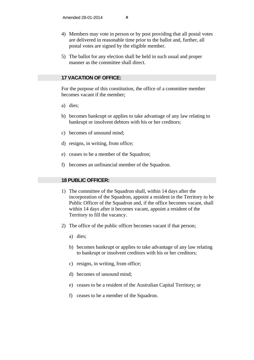- 4) Members may vote in person or by post providing that all postal votes are delivered in reasonable time prior to the ballot and, further, all postal votes are signed by the eligible member.
- 5) The ballot for any election shall be held in such usual and proper manner as the committee shall direct.

# **17 VACATION OF OFFICE:**

For the purpose of this constitution, the office of a committee member becomes vacant if the member;

- a) dies;
- b) becomes bankrupt or applies to take advantage of any law relating to bankrupt or insolvent debtors with his or her creditors;
- c) becomes of unsound mind;
- d) resigns, in writing, from office;
- e) ceases to be a member of the Squadron;
- f) becomes an unfinancial member of the Squadron.

### **18 PUBLIC OFFICER:**

- 1) The committee of the Squadron shall, within 14 days after the incorporation of the Squadron, appoint a resident in the Territory to be Public Officer of the Squadron and, if the office becomes vacant, shall within 14 days after it becomes vacant, appoint a resident of the Territory to fill the vacancy.
- 2) The office of the public officer becomes vacant if that person;
	- a) dies;
	- b) becomes bankrupt or applies to take advantage of any law relating to bankrupt or insolvent creditors with his or her creditors;
	- c) resigns, in writing, from office;
	- d) becomes of unsound mind;
	- e) ceases to be a resident of the Australian Capital Territory; or
	- f) ceases to be a member of the Squadron.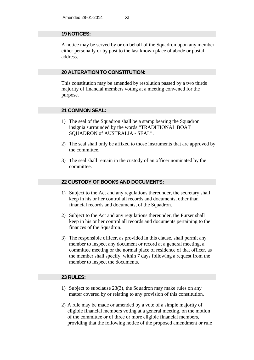#### **19 NOTICES:**

A notice may be served by or on behalf of the Squadron upon any member either personally or by post to the last known place of abode or postal address.

# **20 ALTERATION TO CONSTITUTION:**

This constitution may be amended by resolution passed by a two thirds majority of financial members voting at a meeting convened for the purpose.

# **21 COMMON SEAL:**

- 1) The seal of the Squadron shall be a stamp bearing the Squadron insignia surrounded by the words "TRADITIONAL BOAT SQUADRON of AUSTRALIA - SEAL".
- 2) The seal shall only be affixed to those instruments that are approved by the committee.
- 3) The seal shall remain in the custody of an officer nominated by the committee.

# **22 CUSTODY OF BOOKS AND DOCUMENTS:**

- 1) Subject to the Act and any regulations thereunder, the secretary shall keep in his or her control all records and documents, other than financial records and documents, of the Squadron.
- 2) Subject to the Act and any regulations thereunder, the Purser shall keep in his or her control all records and documents pertaining to the finances of the Squadron.
- 3) The responsible officer, as provided in this clause, shall permit any member to inspect any document or record at a general meeting, a committee meeting or the normal place of residence of that officer, as the member shall specify, within 7 days following a request from the member to inspect the documents.

# **23 RULES:**

- 1) Subject to subclause 23(3), the Squadron may make rules on any matter covered by or relating to any provision of this constitution.
- 2) A rule may be made or amended by a vote of a simple majority of eligible financial members voting at a general meeting, on the motion of the committee or of three or more eligible financial members, providing that the following notice of the proposed amendment or rule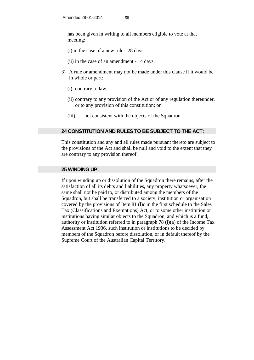has been given in writing to all members eligible to vote at that meeting:

- (i) in the case of a new rule 28 days;
- (ii) in the case of an amendment 14 days.
- 3) A rule or amendment may not be made under this clause if it would be in whole or part:
	- (i) contrary to law,
	- (ii) contrary to any provision of the Act or of any regulation thereunder, or to any provision of this constitution; or
	- (iii) not consistent with the objects of the Squadron

#### **24 CONSTITUTION AND RULES TO BE SUBJECT TO THE ACT:**

This constitution and any and all rules made pursuant thereto are subject to the provisions of the Act and shall be null and void to the extent that they are contrary to any provision thereof.

#### **25 WINDING UP:**

If upon winding up or dissolution of the Squadron there remains, after the satisfaction of all its debts and liabilities, any property whatsoever, the same shall not be paid to, or distributed among the members of the Squadron, but shall be transferred to a society, institution or organisation covered by the provisions of Item 81 (l)c in the first schedule to the Sales Tax (Classifications and Exemptions) Act, or to some other institution or institutions having similar objects to the Squadron, and which is a fund, authority or institution referred to in paragraph 78 (l)(a) of the Income Tax Assessment Act 1936, such institution or institutions to be decided by members of the Squadron before dissolution, or in default thereof by the Supreme Court of the Australian Capital Territory.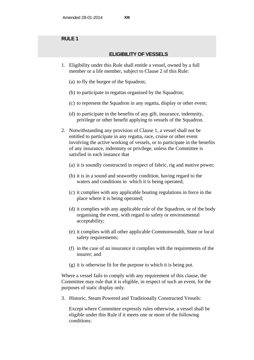#### **RULE 1**

#### **ELIGIBILITY OF VESSELS**

- 1. Eligibility under this Rule shall entitle a vessel, owned by a full member or a life member, subject to Clause 2 of this Rule:
	- (a) to fly the burgee of the Squadron;
	- (b) to participate in regattas organised by the Squadron;
	- (c) to represent the Squadron in any regatta, display or other event;
	- (d) to participate in the benefits of any gift, insurance, indemnity, privilege or other benefit applying to vessels of the Squadron.
- 2. Notwithstanding any provision of Clause 1, a vessel shall not be entitled to participate in any regatta, race, cruise or other event involving the active working of vessels, or to participate in the benefits of any insurance, indemnity or privilege, unless the Committee is satisfied in each instance that
	- (a) it is soundly constructed in respect of fabric, rig and motive power;
	- (b) it is in a sound and seaworthy condition, having regard to the waters and conditions in which it is being operated;
	- (c) it complies with any applicable boating regulations in force in the place where it is being operated;
	- (d) it complies with any applicable rule of the Squadron, or of the body organising the event, with regard to safety or environmental acceptability;
	- (e) it complies with all other applicable Commonwealth, State or local safety requirements;
	- (f) in the case of an insurance it complies with the requirements of the insurer; and
	- (g) it is otherwise fit for the purpose to which it is being put.

Where a vessel fails to comply with any requirement of this clause, the Committee may rule that it is eligible, in respect of such an event, for the purposes of static display only.

3. Historic, Steam Powered and Traditionally Constructed Vessels:

Except where Committee expressly rules otherwise, a vessel shall be eligible under this Rule if it meets one or more of the following conditions: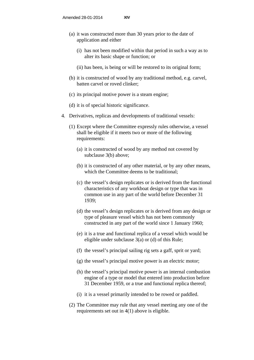- (a) it was constructed more than 30 years prior to the date of application and either
	- (i) has not been modified within that period in such a way as to alter its basic shape or function; or
	- (ii) has been, is being or will be restored to its original form;
- (b) it is constructed of wood by any traditional method, e.g. carvel, batten carvel or roved clinker;
- (c) its principal motive power is a steam engine;
- (d) it is of special historic significance.
- 4. Derivatives, replicas and developments of traditional vessels:
	- (1) Except where the Committee expressly rules otherwise, a vessel shall be eligible if it meets two or more of the following requirements:
		- (a) it is constructed of wood by any method not covered by subclause 3(b) above;
		- (b) it is constructed of any other material, or by any other means, which the Committee deems to be traditional:
		- (c) the vessel's design replicates or is derived from the functional characteristics of any workboat design or type that was in common use in any part of the world before December 31 1939;
		- (d) the vessel's design replicates or is derived from any design or type of pleasure vessel which has not been commonly constructed in any part of the world since 1 January 1960;
		- (e) it is a true and functional replica of a vessel which would be eligible under subclause 3(a) or (d) of this Rule;
		- (f) the vessel's principal sailing rig sets a gaff, sprit or yard;
		- (g) the vessel's principal motive power is an electric motor;
		- (h) the vessel's principal motive power is an internal combustion engine of a type or model that entered into production before 31 December 1959, or a true and functional replica thereof;
		- (i) it is a vessel primarily intended to be rowed or paddled.
	- (2) The Committee may rule that any vessel meeting any one of the requirements set out in 4(1) above is eligible.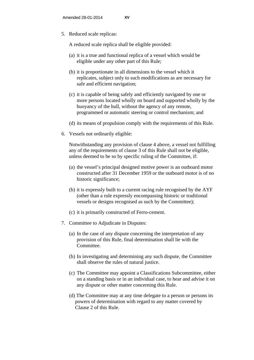5. Reduced scale replicas:

A reduced scale replica shall be eligible provided:

- (a) it is a true and functional replica of a vessel which would be eligible under any other part of this Rule;
- (b) it is proportionate in all dimensions to the vessel which it replicates, subject only to such modifications as are necessary for safe and efficient navigation;
- (c) it is capable of being safely and efficiently navigated by one or more persons located wholly on board and supported wholly by the buoyancy of the hull, without the agency of any remote, programmed or automatic steering or control mechanism; and
- (d) its means of propulsion comply with the requirements of this Rule.
- 6. Vessels not ordinarily eligible:

Notwithstanding any provision of clause 4 above, a vessel not fulfilling any of the requirements of clause 3 of this Rule shall not be eligible, unless deemed to be so by specific ruling of the Committee, if:

- (a) the vessel's principal designed motive power is an outboard motor constructed after 31 December 1959 or the outboard motor is of no historic significance;
- (b) it is expressly built to a current racing rule recognised by the AYF (other than a rule expressly encompassing historic or traditional vessels or designs recognised as such by the Committee);
- (c) it is primarily constructed of Ferro-cement.
- 7. Committee to Adjudicate in Disputes:
	- (a) In the case of any dispute concerning the interpretation of any provision of this Rule, final determination shall lie with the Committee.
	- (b) In investigating and determining any such dispute, the Committee shall observe the rules of natural justice.
	- (c) The Committee may appoint a Classifications Subcommittee, either on a standing basis or in an individual case, to hear and advise it on any dispute or other matter concerning this Rule.
	- (d) The Committee may at any time delegate to a person or persons its powers of determination with regard to any matter covered by Clause 2 of this Rule.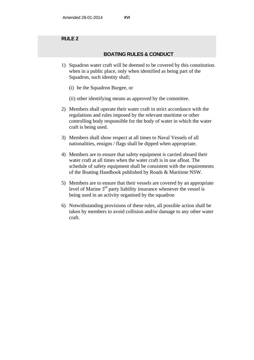# **RULE 2**

# **BOATING RULES & CONDUCT**

- 1) Squadron water craft will be deemed to be covered by this constitution. when in a public place, only when identified as being part of the Squadron, such identity shall;
	- (i) be the Squadron Burgee, or
	- (ii) other identifying means as approved by the committee.
- 2) Members shall operate their water craft in strict accordance with the regulations and rules imposed by the relevant maritime or other controlling body responsible for the body of water in which the water craft is being used.
- 3) Members shall show respect at all times to Naval Vessels of all nationalities, ensigns / flags shall be dipped when appropriate.
- 4) Members are to ensure that safety equipment is carried aboard their water craft at all times when the water craft is in use afloat. The schedule of safety equipment shall be consistent with the requirements of the Boating Handbook published by Roads & Maritime NSW.
- 5) Members are to ensure that their vessels are covered by an appropriate level of Marine 3rd party liability insurance whenever the vessel is being used in an activity organised by the squadron
- 6) Notwithstanding provisions of these rules, all possible action shall be taken by members to avoid collision and/or damage to any other water craft.